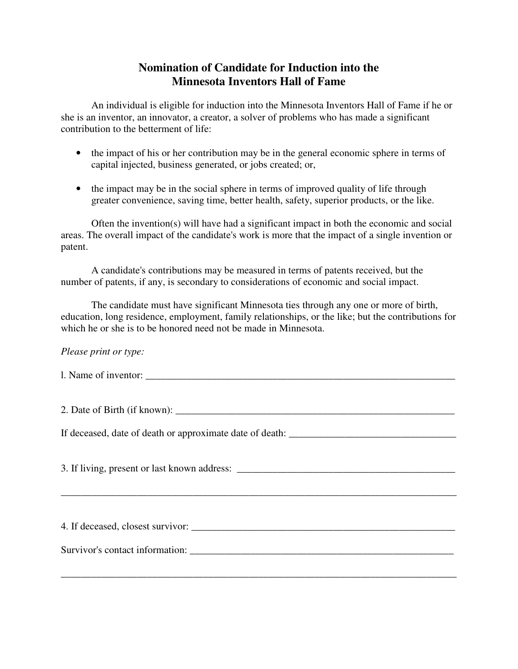## **Nomination of Candidate for Induction into the Minnesota Inventors Hall of Fame**

 An individual is eligible for induction into the Minnesota Inventors Hall of Fame if he or she is an inventor, an innovator, a creator, a solver of problems who has made a significant contribution to the betterment of life:

- the impact of his or her contribution may be in the general economic sphere in terms of capital injected, business generated, or jobs created; or,
- the impact may be in the social sphere in terms of improved quality of life through greater convenience, saving time, better health, safety, superior products, or the like.

 Often the invention(s) will have had a significant impact in both the economic and social areas. The overall impact of the candidate's work is more that the impact of a single invention or patent.

 A candidate's contributions may be measured in terms of patents received, but the number of patents, if any, is secondary to considerations of economic and social impact.

 The candidate must have significant Minnesota ties through any one or more of birth, education, long residence, employment, family relationships, or the like; but the contributions for which he or she is to be honored need not be made in Minnesota.

## *Please print or type:*

l. Name of inventor:

2. Date of Birth (if known):

If deceased, date of death or approximate date of death:

3. If living, present or last known address:

\_\_\_\_\_\_\_\_\_\_\_\_\_\_\_\_\_\_\_\_\_\_\_\_\_\_\_\_\_\_\_\_\_\_\_\_\_\_\_\_\_\_\_\_\_\_\_\_\_\_\_\_\_\_\_\_\_\_\_\_\_\_\_\_\_\_\_\_\_\_\_\_\_\_\_\_\_\_

4. If deceased, closest survivor: Survivor's contact information: \_\_\_\_\_\_\_\_\_\_\_\_\_\_\_\_\_\_\_\_\_\_\_\_\_\_\_\_\_\_\_\_\_\_\_\_\_\_\_\_\_\_\_\_\_\_\_\_\_\_\_\_

\_\_\_\_\_\_\_\_\_\_\_\_\_\_\_\_\_\_\_\_\_\_\_\_\_\_\_\_\_\_\_\_\_\_\_\_\_\_\_\_\_\_\_\_\_\_\_\_\_\_\_\_\_\_\_\_\_\_\_\_\_\_\_\_\_\_\_\_\_\_\_\_\_\_\_\_\_\_